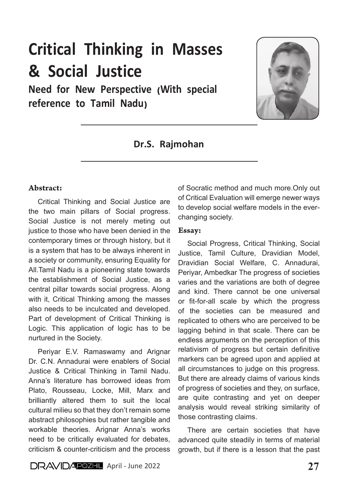# Critical Thinking in Masses & Social Justice

Need for New Perspective (With special reference to Tamil Nadu)



# Dr.S. Rajmohan

#### Abstract:

Critical Thinking and Social Justice are the two main pillars of Social progress. Social Justice is not merely meting out justice to those who have been denied in the contemporary times or through history, but it is a system that has to be always inherent in a society or community, ensuring Equality for All.Tamil Nadu is a pioneering state towards the establishment of Social Justice, as a central pillar towards social progress. Along with it, Critical Thinking among the masses also needs to be inculcated and developed. Part of development of Critical Thinking is Logic. This application of logic has to be nurtured in the Society.

Periyar E.V. Ramaswamy and Arignar Dr. C.N. Annadurai were enablers of Social Justice & Critical Thinking in Tamil Nadu. Anna's literature has borrowed ideas from Plato, Rousseau, Locke, Mill, Marx and brilliantly altered them to suit the local cultural milieu so that they don't remain some abstract philosophies but rather tangible and workable theories. Arignar Anna's works need to be critically evaluated for debates, criticism & counter-criticism and the process

of Socratic method and much more.Only out of Critical Evaluation will emerge newer ways to develop social welfare models in the everchanging society.

#### Essay:

Social Progress, Critical Thinking, Social Justice, Tamil Culture, Dravidian Model, Dravidian Social Welfare, C. Annadurai, Periyar, Ambedkar The progress of societies varies and the variations are both of degree and kind. There cannot be one universal or fit-for-all scale by which the progress of the societies can be measured and replicated to others who are perceived to be lagging behind in that scale. There can be endless arguments on the perception of this relativism of progress but certain definitive markers can be agreed upon and applied at all circumstances to judge on this progress. But there are already claims of various kinds of progress of societies and they, on surface, are quite contrasting and yet on deeper analysis would reveal striking similarity of those contrasting claims.

There are certain societies that have advanced quite steadily in terms of material growth, but if there is a lesson that the past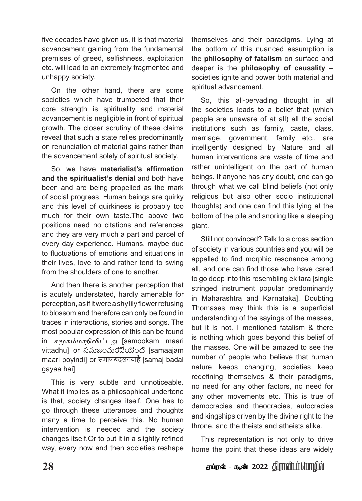five decades have given us, it is that material advancement gaining from the fundamental premises of greed, selfishness, exploitation etc. will lead to an extremely fragmented and unhappy society.

On the other hand, there are some societies which have trumpeted that their core strength is spirituality and material advancement is negligible in front of spiritual growth. The closer scrutiny of these claims reveal that such a state relies predominantly on renunciation of material gains rather than the advancement solely of spiritual society.

So, we have **materialist's affirmation and the spiritualist's denial** and both have been and are being propelled as the mark of social progress. Human beings are quirky and this level of quirkiness is probably too much for their own taste.The above two positions need no citations and references and they are very much a part and parcel of every day experience. Humans, maybe due to fluctuations of emotions and situations in their lives, love to and rather tend to swing from the shoulders of one to another.

And then there is another perception that is acutely understated, hardly amenable for perception, as if it were a shy lily flower refusing to blossom and therefore can only be found in traces in interactions, stories and songs. The most popular expression of this can be found in *சமூகம்மாறிவிட்டது* [samookam maari vittadhu] or సమాజంమారిపోయింది [samaajam maari poyindi] or समाजबदलगयाहै [samaj badal gayaa hai].

This is very subtle and unnoticeable. What it implies as a philosophical undertone is that, society changes itself. One has to go through these utterances and thoughts many a time to perceive this. No human intervention is needed and the society changes itself.Or to put it in a slightly refined way, every now and then societies reshape

themselves and their paradigms. Lying at the bottom of this nuanced assumption is the **philosophy of fatalism** on surface and deeper is the **philosophy of causality** – societies ignite and power both material and spiritual advancement.

So, this all-pervading thought in all the societies leads to a belief that (which people are unaware of at all) all the social institutions such as family, caste, class, marriage, government, family etc., are intelligently designed by Nature and all human interventions are waste of time and rather unintelligent on the part of human beings. If anyone has any doubt, one can go through what we call blind beliefs (not only religious but also other socio institutional thoughts) and one can find this lying at the bottom of the pile and snoring like a sleeping giant.

Still not convinced? Talk to a cross section of society in various countries and you will be appalled to find morphic resonance among all, and one can find those who have cared to go deep into this resembling ek tara [single stringed instrument popular predominantly in Maharashtra and Karnataka]. Doubting Thomases may think this is a superficial understanding of the sayings of the masses, but it is not. I mentioned fatalism & there is nothing which goes beyond this belief of the masses. One will be amazed to see the number of people who believe that human nature keeps changing, societies keep redefining themselves & their paradigms, no need for any other factors, no need for any other movements etc. This is true of democracies and theocracies, autocracies and kingships driven by the divine right to the throne, and the theists and atheists alike.

This representation is not only to drive home the point that these ideas are widely

# **28** V¥uš - N‹ 2022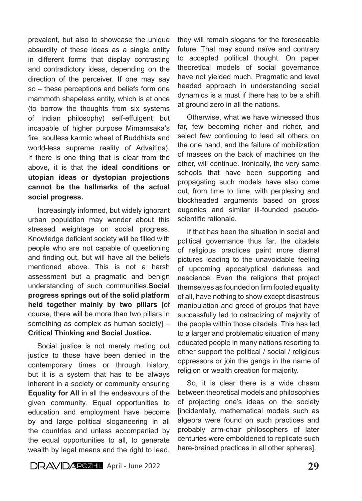prevalent, but also to showcase the unique absurdity of these ideas as a single entity in different forms that display contrasting and contradictory ideas, depending on the direction of the perceiver. If one may say so – these perceptions and beliefs form one mammoth shapeless entity, which is at once (to borrow the thoughts from six systems of Indian philosophy) self-effulgent but incapable of higher purpose Mimamsaka's fire, soulless karmic wheel of Buddhists and world-less supreme reality of Advaitins). If there is one thing that is clear from the above, it is that the **ideal conditions or utopian ideas or dystopian projections cannot be the hallmarks of the actual social progress.**

Increasingly informed, but widely ignorant urban population may wonder about this stressed weightage on social progress. Knowledge deficient society will be filled with people who are not capable of questioning and finding out, but will have all the beliefs mentioned above. This is not a harsh assessment but a pragmatic and benign understanding of such communities.**Social progress springs out of the solid platform held together mainly by two pillars** [of course, there will be more than two pillars in something as complex as human society] – **Critical Thinking and Social Justice.**

Social justice is not merely meting out justice to those have been denied in the contemporary times or through history, but it is a system that has to be always inherent in a society or community ensuring **Equality for All** in all the endeavours of the given community. Equal opportunities to education and employment have become by and large political sloganeering in all the countries and unless accompanied by the equal opportunities to all, to generate wealth by legal means and the right to lead,

they will remain slogans for the foreseeable future. That may sound naïve and contrary to accepted political thought. On paper theoretical models of social governance have not yielded much. Pragmatic and level headed approach in understanding social dynamics is a must if there has to be a shift at ground zero in all the nations.

Otherwise, what we have witnessed thus far, few becoming richer and richer, and select few continuing to lead all others on the one hand, and the failure of mobilization of masses on the back of machines on the other, will continue. Ironically, the very same schools that have been supporting and propagating such models have also come out, from time to time, with perplexing and blockheaded arguments based on gross eugenics and similar ill-founded pseudoscientific rationale.

If that has been the situation in social and political governance thus far, the citadels of religious practices paint more dismal pictures leading to the unavoidable feeling of upcoming apocalyptical darkness and nescience. Even the religions that project themselves as founded on firm footed equality of all, have nothing to show except disastrous manipulation and greed of groups that have successfully led to ostracizing of majority of the people within those citadels. This has led to a larger and problematic situation of many educated people in many nations resorting to either support the political / social / religious oppressors or join the gangs in the name of religion or wealth creation for majority.

So, it is clear there is a wide chasm between theoretical models and philosophies of projecting one's ideas on the society [incidentally, mathematical models such as algebra were found on such practices and probably arm-chair philosophers of later centuries were emboldened to replicate such hare-brained practices in all other spheres].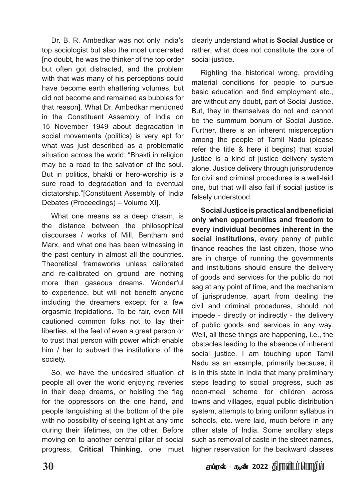Dr. B. R. Ambedkar was not only India's top sociologist but also the most underrated [no doubt, he was the thinker of the top order but often got distracted, and the problem with that was many of his perceptions could have become earth shattering volumes, but did not become and remained as bubbles for that reason]. What Dr. Ambedkar mentioned in the Constituent Assembly of India on 15 November 1949 about degradation in social movements (politics) is very apt for what was just described as a problematic situation across the world: "Bhakti in religion may be a road to the salvation of the soul. But in politics, bhakti or hero-worship is a sure road to degradation and to eventual dictatorship."[Constituent Assembly of India Debates (Proceedings) – Volume XI].

What one means as a deep chasm, is the distance between the philosophical discourses / works of Mill, Bentham and Marx, and what one has been witnessing in the past century in almost all the countries. Theoretical frameworks unless calibrated and re-calibrated on ground are nothing more than gaseous dreams. Wonderful to experience, but will not benefit anyone including the dreamers except for a few orgasmic trepidations. To be fair, even Mill cautioned common folks not to lay their liberties, at the feet of even a great person or to trust that person with power which enable him / her to subvert the institutions of the society.

So, we have the undesired situation of people all over the world enjoying reveries in their deep dreams, or hoisting the flag for the oppressors on the one hand, and people languishing at the bottom of the pile with no possibility of seeing light at any time during their lifetimes, on the other. Before moving on to another central pillar of social progress, **Critical Thinking**, one must clearly understand what is **Social Justice** or rather, what does not constitute the core of social justice.

Righting the historical wrong, providing material conditions for people to pursue basic education and find employment etc., are without any doubt, part of Social Justice. But, they in themselves do not and cannot be the summum bonum of Social Justice. Further, there is an inherent misperception among the people of Tamil Nadu (please refer the title & here it begins) that social justice is a kind of justice delivery system alone. Justice delivery through jurisprudence for civil and criminal procedures is a well-laid one, but that will also fail if social justice is falsely understood.

**Social Justice is practical and beneficial only when opportunities and freedom to every individual becomes inherent in the social institutions**, every penny of public finance reaches the last citizen, those who are in charge of running the governments and institutions should ensure the delivery of goods and services for the public do not sag at any point of time, and the mechanism of jurisprudence, apart from dealing the civil and criminal procedures, should not impede - directly or indirectly - the delivery of public goods and services in any way. Well, all these things are happening, i.e., the obstacles leading to the absence of inherent social justice. I am touching upon Tamil Nadu as an example, primarily because, it is in this state in India that many preliminary steps leading to social progress, such as noon-meal scheme for children across towns and villages, equal public distribution system, attempts to bring uniform syllabus in schools, etc. were laid, much before in any other state of India. Some ancillary steps such as removal of caste in the street names, higher reservation for the backward classes

## <u>30</u> V *S*uš - கூன் 2022 திராவிடப்பொழில்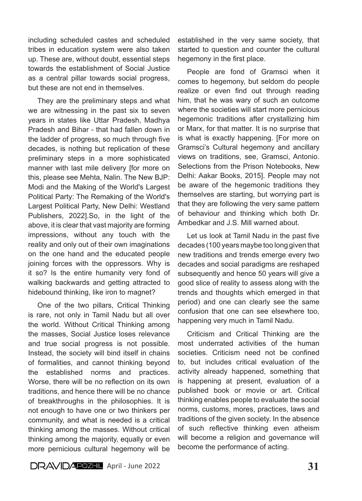including scheduled castes and scheduled tribes in education system were also taken up. These are, without doubt, essential steps towards the establishment of Social Justice as a central pillar towards social progress, but these are not end in themselves.

They are the preliminary steps and what we are witnessing in the past six to seven years in states like Uttar Pradesh, Madhya Pradesh and Bihar - that had fallen down in the ladder of progress, so much through five decades, is nothing but replication of these preliminary steps in a more sophisticated manner with last mile delivery [for more on this, please see Mehta, Nalin. The New BJP: Modi and the Making of the World's Largest Political Party: The Remaking of the World's Largest Political Party, New Delhi: Westland Publishers, 2022].So, in the light of the above, it is clear that vast majority are forming impressions, without any touch with the reality and only out of their own imaginations on the one hand and the educated people joining forces with the oppressors. Why is it so? Is the entire humanity very fond of walking backwards and getting attracted to hidebound thinking, like iron to magnet?

One of the two pillars, Critical Thinking is rare, not only in Tamil Nadu but all over the world. Without Critical Thinking among the masses, Social Justice loses relevance and true social progress is not possible. Instead, the society will bind itself in chains of formalities, and cannot thinking beyond the established norms and practices. Worse, there will be no reflection on its own traditions, and hence there will be no chance of breakthroughs in the philosophies. It is not enough to have one or two thinkers per community, and what is needed is a critical thinking among the masses. Without critical thinking among the majority, equally or even more pernicious cultural hegemony will be established in the very same society, that started to question and counter the cultural hegemony in the first place.

People are fond of Gramsci when it comes to hegemony, but seldom do people realize or even find out through reading him, that he was wary of such an outcome where the societies will start more pernicious hegemonic traditions after crystallizing him or Marx, for that matter. It is no surprise that is what is exactly happening. [For more on Gramsci's Cultural hegemony and ancillary views on traditions, see, Gramsci, Antonio. Selections from the Prison Notebooks, New Delhi: Aakar Books, 2015]. People may not be aware of the hegemonic traditions they themselves are starting, but worrying part is that they are following the very same pattern of behaviour and thinking which both Dr. Ambedkar and J.S. Mill warned about.

Let us look at Tamil Nadu in the past five decades (100 years maybe too long given that new traditions and trends emerge every two decades and social paradigms are reshaped subsequently and hence 50 years will give a good slice of reality to assess along with the trends and thoughts which emerged in that period) and one can clearly see the same confusion that one can see elsewhere too, happening very much in Tamil Nadu.

Criticism and Critical Thinking are the most underrated activities of the human societies. Criticism need not be confined to, but includes critical evaluation of the activity already happened, something that is happening at present, evaluation of a published book or movie or art. Critical thinking enables people to evaluate the social norms, customs, mores, practices, laws and traditions of the given society. In the absence of such reflective thinking even atheism will become a religion and governance will become the performance of acting.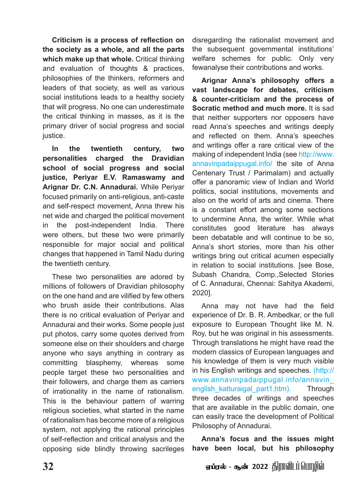**Criticism is a process of reflection on the society as a whole, and all the parts which make up that whole.** Critical thinking and evaluation of thoughts & practices, philosophies of the thinkers, reformers and leaders of that society, as well as various social institutions leads to a healthy society that will progress. No one can underestimate the critical thinking in masses, as it is the primary driver of social progress and social justice.

**In the twentieth century, two personalities charged the Dravidian school of social progress and social justice, Periyar E.V. Ramaswamy and Arignar Dr. C.N. Annadurai.** While Periyar focused primarily on anti-religious, anti-caste and self-respect movement, Anna threw his net wide and charged the political movement in the post-independent India. There were others, but these two were primarily responsible for major social and political changes that happened in Tamil Nadu during the twentieth century.

These two personalities are adored by millions of followers of Dravidian philosophy on the one hand and are vilified by few others who brush aside their contributions. Alas there is no critical evaluation of Periyar and Annadurai and their works. Some people just put photos, carry some quotes derived from someone else on their shoulders and charge anyone who says anything in contrary as committing blasphemy, whereas some people target these two personalities and their followers, and charge them as carriers of irrationality in the name of rationalism. This is the behaviour pattern of warring religious societies, what started in the name of rationalism has become more of a religious system, not applying the rational principles of self-reflection and critical analysis and the opposing side blindly throwing sacrileges

disregarding the rationalist movement and the subsequent governmental institutions' welfare schemes for public. Only very fewanalyse their contributions and works.

**Arignar Anna's philosophy offers a vast landscape for debates, criticism & counter-criticism and the process of Socratic method and much more.** It is sad that neither supporters nor opposers have read Anna's speeches and writings deeply and reflected on them. Anna's speeches and writings offer a rare critical view of the making of independent India (see http://www. annavinpadaippugal.info/ the site of Anna Centenary Trust / Parimalam) and actually offer a panoramic view of Indian and World politics, social institutions, movements and also on the world of arts and cinema. There is a constant effort among some sections to undermine Anna, the writer. While what constitutes good literature has always been debatable and will continue to be so, Anna's short stories, more than his other writings bring out critical acumen especially in relation to social institutions. [see Bose, Subash Chandra, Comp.,Selected Stories of C. Annadurai, Chennai: Sahitya Akademi, 2020].

Anna may not have had the field experience of Dr. B. R. Ambedkar, or the full exposure to European Thought like M. N. Roy, but he was original in his assessments. Through translations he might have read the modern classics of European languages and his knowledge of them is very much visible in his English writings and speeches. (http:// www.annavinpadaippugal.info/annavin\_ english katturaigal part1.htm). Through three decades of writings and speeches that are available in the public domain, one can easily trace the development of Political Philosophy of Annadurai.

**Anna's focus and the issues might have been local, but his philosophy** 

<u>32 January 2022 குறைக்கை வாக்கியத்தில் 1992 திராவிப்பு பெரும்</u>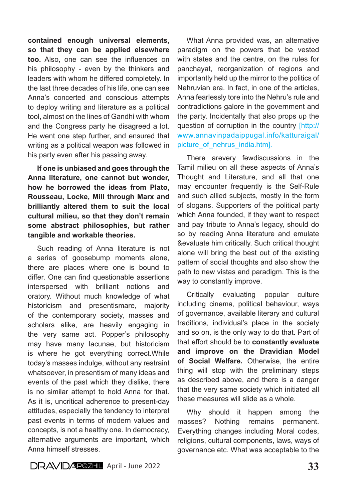**contained enough universal elements, so that they can be applied elsewhere too.** Also, one can see the influences on his philosophy - even by the thinkers and leaders with whom he differed completely. In the last three decades of his life, one can see Anna's concerted and conscious attempts to deploy writing and literature as a political tool, almost on the lines of Gandhi with whom and the Congress party he disagreed a lot. He went one step further, and ensured that writing as a political weapon was followed in his party even after his passing away.

**If one is unbiased and goes through the Anna literature, one cannot but wonder, how he borrowed the ideas from Plato, Rousseau, Locke, Mill through Marx and brilliantly altered them to suit the local cultural milieu, so that they don't remain some abstract philosophies, but rather tangible and workable theories.**

Such reading of Anna literature is not a series of goosebump moments alone, there are places where one is bound to differ. One can find questionable assertions interspersed with brilliant notions and oratory. Without much knowledge of what historicism and presentismare, majority of the contemporary society, masses and scholars alike, are heavily engaging in the very same act. Popper's philosophy may have many lacunae, but historicism is where he got everything correct.While today's masses indulge, without any restraint whatsoever, in presentism of many ideas and events of the past which they dislike, there is no similar attempt to hold Anna for that. As it is, uncritical adherence to present-day attitudes, especially the tendency to interpret past events in terms of modern values and concepts, is not a healthy one. In democracy, alternative arguments are important, which Anna himself stresses.

What Anna provided was, an alternative paradigm on the powers that be vested with states and the centre, on the rules for panchayat, reorganization of regions and importantly held up the mirror to the politics of Nehruvian era. In fact, in one of the articles, Anna fearlessly tore into the Nehru's rule and contradictions galore in the government and the party. Incidentally that also props up the question of corruption in the country [http:// www.annavinpadaippugal.info/katturaigal/ picture of nehrus india.htm].

There arevery fewdiscussions in the Tamil milieu on all these aspects of Anna's Thought and Literature, and all that one may encounter frequently is the Self-Rule and such allied subjects, mostly in the form of slogans. Supporters of the political party which Anna founded, if they want to respect and pay tribute to Anna's legacy, should do so by reading Anna literature and emulate &evaluate him critically. Such critical thought alone will bring the best out of the existing pattern of social thoughts and also show the path to new vistas and paradigm. This is the way to constantly improve.

Critically evaluating popular culture including cinema, political behaviour, ways of governance, available literary and cultural traditions, individual's place in the society and so on, is the only way to do that. Part of that effort should be to **constantly evaluate and improve on the Dravidian Model of Social Welfare.** Otherwise, the entire thing will stop with the preliminary steps as described above, and there is a danger that the very same society which initiated all these measures will slide as a whole.

Why should it happen among the masses? Nothing remains permanent. Everything changes including Moral codes, religions, cultural components, laws, ways of governance etc. What was acceptable to the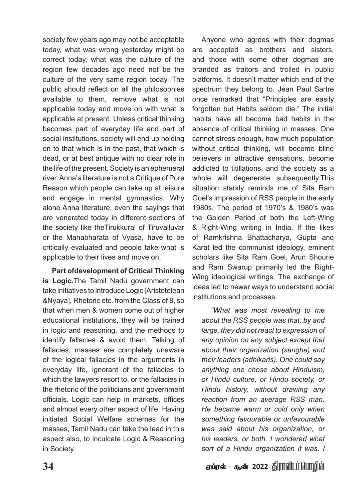society few years ago may not be acceptable today, what was wrong yesterday might be correct today, what was the culture of the region few decades ago need not be the culture of the very same region today. The public should reflect on all the philosophies available to them, remove what is not applicable today and move on with what is applicable at present. Unless critical thinking becomes part of everyday life and part of social institutions, society will end up holding on to that which is in the past, that which is dead, or at best antique with no clear role in the life of the present. Society is an ephemeral river. Anna's literature is not a Critique of Pure Reason which people can take up at leisure and engage in mental gymnastics. Why alone Anna literature, even the sayings that are venerated today in different sections of the society like theTirukkural of Tiruvalluvar or the Mahabharata of Vyasa, have to be critically evaluated and people take what is applicable to their lives and move on.

**Part ofdevelopment of Critical Thinking is Logic.**The Tamil Nadu government can take initiatives to introduce Logic [Aristotelean &Nyaya], Rhetoric etc. from the Class of 8, so that when men & women come out of higher educational institutions, they will be trained in logic and reasoning, and the methods to identify fallacies & avoid them. Talking of fallacies, masses are completely unaware of the logical fallacies in the arguments in everyday life, ignorant of the fallacies to which the lawyers resort to, or the fallacies in the rhetoric of the politicians and government officials. Logic can help in markets, offices and almost every other aspect of life. Having initiated Social Welfare schemes for the masses, Tamil Nadu can take the lead in this aspect also, to inculcate Logic & Reasoning in Society.

Anyone who agrees with their dogmas are accepted as brothers and sisters, and those with some other dogmas are branded as traitors and trolled in public platforms. It doesn't matter which end of the spectrum they belong to. Jean Paul Sartre once remarked that "Principles are easily forgotten but Habits seldom die." The initial habits have all become bad habits in the absence of critical thinking in masses. One cannot stress enough, how much population without critical thinking, will become blind believers in attractive sensations, become addicted to titillations, and the society as a whole will degenerate subsequently.This situation starkly reminds me of Sita Ram Goel's impression of RSS people in the early 1980s. The period of 1970's & 1980's was the Golden Period of both the Left-Wing & Right-Wing writing in India. If the likes of Ramkrishna Bhattacharya, Gupta and Karat led the communist ideology, eminent scholars like Sita Ram Goel, Arun Shourie and Ram Swarup primarily led the Right-Wing ideological writings. The exchange of ideas led to newer ways to understand social institutions and processes.

*"What was most revealing to me about the RSS people was that, by and large, they did not react to expression of any opinion on any subject except that about their organization (sangha) and their leaders (adhikaris). One could say anything one chose about Hinduism, or Hindu culture, or Hindu society, or Hindu history, without drawing any reaction from an average RSS man. He became warm or cold only when something favourable or unfavourable was said about his organization, or his leaders, or both. I wondered what sort of a Hindu organization it was. I* 

**34** V¥uš - N‹ 2022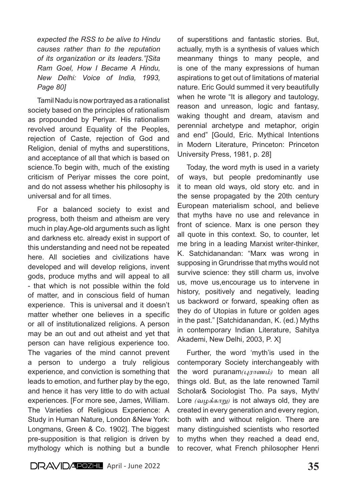*expected the RSS to be alive to Hindu causes rather than to the reputation of its organization or its leaders."[Sita Ram Goel, How I Became A Hindu, New Delhi: Voice of India, 1993, Page 80]*

Tamil Nadu is now portrayed as a rationalist society based on the principles of rationalism as propounded by Periyar. His rationalism revolved around Equality of the Peoples, rejection of Caste, rejection of God and Religion, denial of myths and superstitions, and acceptance of all that which is based on science.To begin with, much of the existing criticism of Periyar misses the core point, and do not assess whether his philosophy is universal and for all times.

For a balanced society to exist and progress, both theism and atheism are very much in play.Age-old arguments such as light and darkness etc. already exist in support of this understanding and need not be repeated here. All societies and civilizations have developed and will develop religions, invent gods, produce myths and will appeal to all - that which is not possible within the fold of matter, and in conscious field of human experience. This is universal and it doesn't matter whether one believes in a specific or all of institutionalized religions. A person may be an out and out atheist and yet that person can have religious experience too. The vagaries of the mind cannot prevent a person to undergo a truly religious experience, and conviction is something that leads to emotion, and further play by the ego, and hence it has very little to do with actual experiences. [For more see, James, William. The Varieties of Religious Experience: A Study in Human Nature, London &New York: Longmans, Green & Co. 1902]. The biggest pre-supposition is that religion is driven by mythology which is nothing but a bundle

of superstitions and fantastic stories. But, actually, myth is a synthesis of values which meanmany things to many people, and is one of the many expressions of human aspirations to get out of limitations of material nature. Eric Gould summed it very beautifully when he wrote "It is allegory and tautology, reason and unreason, logic and fantasy, waking thought and dream, atavism and perennial archetype and metaphor, origin and end" [Gould, Eric. Mythical Intentions in Modern Literature, Princeton: Princeton University Press, 1981, p. 28]

Today, the word myth is used in a variety of ways, but people predominantly use it to mean old ways, old story etc. and in the sense propagated by the 20th century European materialism school, and believe that myths have no use and relevance in front of science. Marx is one person they all quote in this context. So, to counter, let me bring in a leading Marxist writer-thinker, K. Satchidanandan: "Marx was wrong in supposing in Grundrisse that myths would not survive science: they still charm us, involve us, move us,encourage us to intervene in history, positively and negatively, leading us backword or forward, speaking often as they do of Utopias in future or golden ages in the past." [Satchidanandan, K. (ed.) Myths in contemporary Indian Literature, Sahitya Akademi, New Delhi, 2003, P. X]

Further, the word 'myth'is used in the contemporary Society interchangeably with the word puranam*(புராணம்)* to mean all things old. But, as the late renowned Tamil Scholar& Sociologist Tho. Pa says, Myth/ Lore *(வழக்காறு)* is not always old, they are created in every generation and every region, both with and without religion. There are many distinguished scientists who resorted to myths when they reached a dead end, to recover, what French philosopher Henri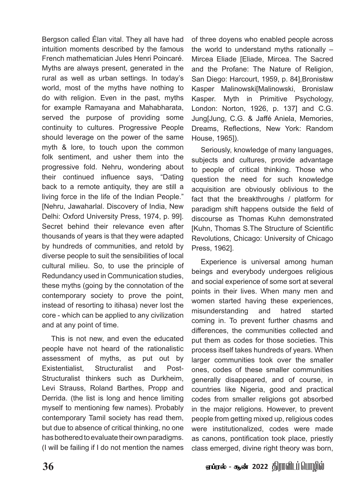Bergson called Élan vital. They all have had intuition moments described by the famous French mathematician Jules Henri Poincaré. Myths are always present, generated in the rural as well as urban settings. In today's world, most of the myths have nothing to do with religion. Even in the past, myths for example Ramayana and Mahabharata, served the purpose of providing some continuity to cultures. Progressive People should leverage on the power of the same myth & lore, to touch upon the common folk sentiment, and usher them into the progressive fold. Nehru, wondering about their continued influence says, "Dating back to a remote antiquity, they are still a living force in the life of the Indian People." [Nehru, Jawaharlal. Discovery of India, New Delhi: Oxford University Press, 1974, p. 99]. Secret behind their relevance even after thousands of years is that they were adapted by hundreds of communities, and retold by diverse people to suit the sensibilities of local cultural milieu. So, to use the principle of Redundancy used in Communication studies, these myths (going by the connotation of the contemporary society to prove the point, instead of resorting to itihasa) never lost the core - which can be applied to any civilization and at any point of time.

This is not new, and even the educated people have not heard of the rationalistic assessment of myths, as put out by Existentialist, Structuralist and Post-Structuralist thinkers such as Durkheim, Levi Strauss, Roland Barthes, Propp and Derrida. (the list is long and hence limiting myself to mentioning few names). Probably contemporary Tamil society has read them, but due to absence of critical thinking, no one has bothered to evaluate their own paradigms. (I will be failing if I do not mention the names

of three doyens who enabled people across the world to understand myths rationally – Mircea Eliade [Eliade, Mircea. The Sacred and the Profane: The Nature of Religion, San Diego: Harcourt, 1959, p. 84],Bronis*ł*aw Kasper Malinowski[Malinowski, Bronislaw Kasper. Myth in Primitive Psychology, London: Norton, 1926, p. 137] and C.G. Jung[Jung, C.G. & Jaffé Aniela, Memories, Dreams, Reflections, New York: Random House, 1965]).

Seriously, knowledge of many languages, subjects and cultures, provide advantage to people of critical thinking. Those who question the need for such knowledge acquisition are obviously oblivious to the fact that the breakthroughs / platform for paradigm shift happens outside the field of discourse as Thomas Kuhn demonstrated [Kuhn, Thomas S.The Structure of Scientific Revolutions, Chicago: University of Chicago Press, 1962].

Experience is universal among human beings and everybody undergoes religious and social experience of some sort at several points in their lives. When many men and women started having these experiences, misunderstanding and hatred started coming in. To prevent further chasms and differences, the communities collected and put them as codes for those societies. This process itself takes hundreds of years. When larger communities took over the smaller ones, codes of these smaller communities generally disappeared, and of course, in countries like Nigeria, good and practical codes from smaller religions got absorbed in the major religions. However, to prevent people from getting mixed up, religious codes were institutionalized, codes were made as canons, pontification took place, priestly class emerged, divine right theory was born,

**36** V¥uš - N‹ 2022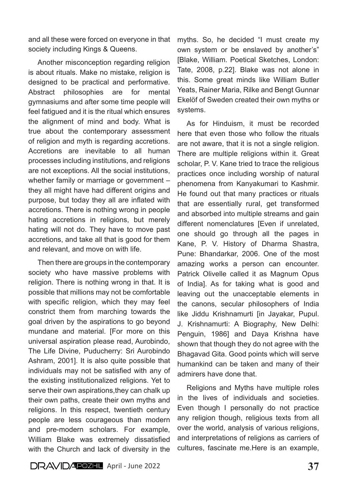and all these were forced on everyone in that society including Kings & Queens.

Another misconception regarding religion is about rituals. Make no mistake, religion is designed to be practical and performative. Abstract philosophies are for mental gymnasiums and after some time people will feel fatigued and it is the ritual which ensures the alignment of mind and body. What is true about the contemporary assessment of religion and myth is regarding accretions. Accretions are inevitable to all human processes including institutions, and religions are not exceptions. All the social institutions, whether family or marriage or government – they all might have had different origins and purpose, but today they all are inflated with accretions. There is nothing wrong in people hating accretions in religions, but merely hating will not do. They have to move past accretions, and take all that is good for them and relevant, and move on with life.

Then there are groups in the contemporary society who have massive problems with religion. There is nothing wrong in that. It is possible that millions may not be comfortable with specific religion, which they may feel constrict them from marching towards the goal driven by the aspirations to go beyond mundane and material. [For more on this universal aspiration please read, Aurobindo, The Life Divine, Puducherry: Sri Aurobindo Ashram, 2001]. It is also quite possible that individuals may not be satisfied with any of the existing institutionalized religions. Yet to serve their own aspirations, they can chalk up their own paths, create their own myths and religions. In this respect, twentieth century people are less courageous than modern and pre-modern scholars. For example, William Blake was extremely dissatisfied with the Church and lack of diversity in the

myths. So, he decided "I must create my own system or be enslaved by another's" [Blake, William. Poetical Sketches, London: Tate, 2008, p.22]. Blake was not alone in this. Some great minds like William Butler Yeats, Rainer Maria, Rilke and Bengt Gunnar Ekelöf of Sweden created their own myths or systems.

As for Hinduism, it must be recorded here that even those who follow the rituals are not aware, that it is not a single religion. There are multiple religions within it. Great scholar, P. V. Kane tried to trace the religious practices once including worship of natural phenomena from Kanyakumari to Kashmir. He found out that many practices or rituals that are essentially rural, get transformed and absorbed into multiple streams and gain different nomenclatures [Even if unrelated, one should go through all the pages in Kane, P. V. History of Dharma Shastra, Pune: Bhandarkar, 2006. One of the most amazing works a person can encounter. Patrick Olivelle called it as Magnum Opus of India]. As for taking what is good and leaving out the unacceptable elements in the canons, secular philosophers of India like Jiddu Krishnamurti [in Jayakar, Pupul. J. Krishnamurti: A Biography, New Delhi: Penguin, 1986] and Daya Krishna have shown that though they do not agree with the Bhagavad Gita. Good points which will serve humankind can be taken and many of their admirers have done that.

Religions and Myths have multiple roles in the lives of individuals and societies. Even though I personally do not practice any religion though, religious texts from all over the world, analysis of various religions, and interpretations of religions as carriers of cultures, fascinate me.Here is an example,